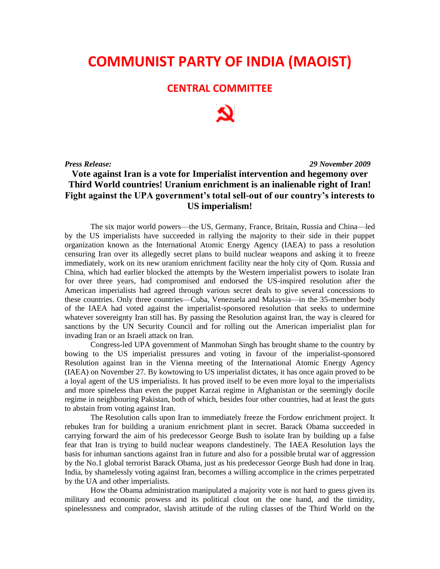## **COMMUNIST PARTY OF INDIA (MAOIST)**

## **CENTRAL COMMITTEE**

*Press Release: 29 November 2009*

## **Vote against Iran is a vote for Imperialist intervention and hegemony over Third World countries! Uranium enrichment is an inalienable right of Iran! Fight against the UPA government's total sell-out of our country's interests to US imperialism!**

The six major world powers—the US, Germany, France, Britain, Russia and China—led by the US imperialists have succeeded in rallying the majority to their side in their puppet organization known as the International Atomic Energy Agency (IAEA) to pass a resolution censuring Iran over its allegedly secret plans to build nuclear weapons and asking it to freeze immediately, work on its new uranium enrichment facility near the holy city of Qom. Russia and China, which had earlier blocked the attempts by the Western imperialist powers to isolate Iran for over three years, had compromised and endorsed the US-inspired resolution after the American imperialists had agreed through various secret deals to give several concessions to these countries. Only three countries—Cuba, Venezuela and Malaysia—in the 35-member body of the IAEA had voted against the imperialist-sponsored resolution that seeks to undermine whatever sovereignty Iran still has. By passing the Resolution against Iran, the way is cleared for sanctions by the UN Security Council and for rolling out the American imperialist plan for invading Iran or an Israeli attack on Iran.

Congress-led UPA government of Manmohan Singh has brought shame to the country by bowing to the US imperialist pressures and voting in favour of the imperialist-sponsored Resolution against Iran in the Vienna meeting of the International Atomic Energy Agency (IAEA) on November 27. By kowtowing to US imperialist dictates, it has once again proved to be a loyal agent of the US imperialists. It has proved itself to be even more loyal to the imperialists and more spineless than even the puppet Karzai regime in Afghanistan or the seemingly docile regime in neighbouring Pakistan, both of which, besides four other countries, had at least the guts to abstain from voting against Iran.

The Resolution calls upon Iran to immediately freeze the Fordow enrichment project. It rebukes Iran for building a uranium enrichment plant in secret. Barack Obama succeeded in carrying forward the aim of his predecessor George Bush to isolate Iran by building up a false fear that Iran is trying to build nuclear weapons clandestinely. The IAEA Resolution lays the basis for inhuman sanctions against Iran in future and also for a possible brutal war of aggression by the No.1 global terrorist Barack Obama, just as his predecessor George Bush had done in Iraq. India, by shamelessly voting against Iran, becomes a willing accomplice in the crimes perpetrated by the UA and other imperialists.

How the Obama administration manipulated a majority vote is not hard to guess given its military and economic prowess and its political clout on the one hand, and the timidity, spinelessness and comprador, slavish attitude of the ruling classes of the Third World on the